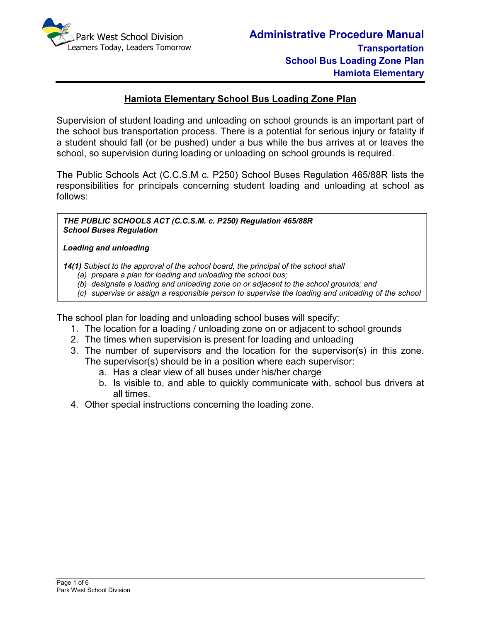

### **Hamiota Elementary School Bus Loading Zone Plan**

Supervision of student loading and unloading on school grounds is an important part of the school bus transportation process. There is a potential for serious injury or fatality if a student should fall (or be pushed) under a bus while the bus arrives at or leaves the school, so supervision during loading or unloading on school grounds is required.

The Public Schools Act (C.C.S.M c. P250) School Buses Regulation 465/88R lists the responsibilities for principals concerning student loading and unloading at school as follows:

*THE PUBLIC SCHOOLS ACT (C.C.S.M. c. P250) Regulation 465/88R School Buses Regulation* 

#### *Loading and unloading*

*bus.*

*14(1) Subject to the approval of the school board, the principal of the school shall* 

- *(a) prepare a plan for loading and unloading the school bus;*
- *(b) designate a loading and unloading zone on or adjacent to the school grounds; and*
- *(c) supervise or assign a responsible person to supervise the loading and unloading of the school*

The school plan for loading and unloading school buses will specify:

- 1. The location for a loading / unloading zone on or adjacent to school grounds
- 2. The times when supervision is present for loading and unloading
- 3. The number of supervisors and the location for the supervisor(s) in this zone. The supervisor(s) should be in a position where each supervisor:
	- a. Has a clear view of all buses under his/her charge
	- b. Is visible to, and able to quickly communicate with, school bus drivers at all times.
- 4. Other special instructions concerning the loading zone.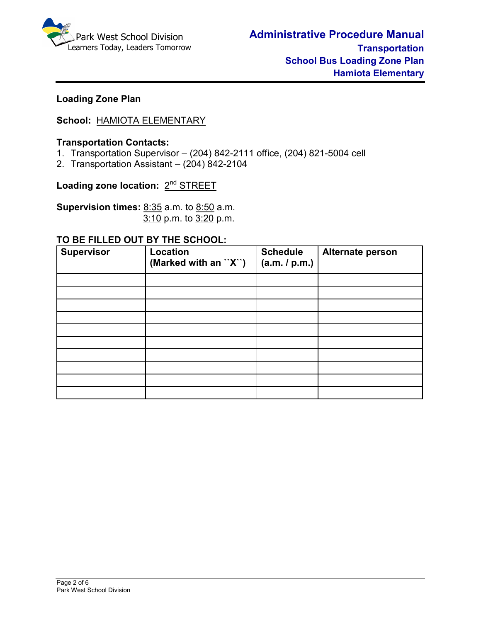

## **Loading Zone Plan**

# **School:** HAMIOTA ELEMENTARY

#### **Transportation Contacts:**

- 1. Transportation Supervisor (204) 842-2111 office, (204) 821-5004 cell
- 2. Transportation Assistant (204) 842-2104

Loading zone location: 2<sup>nd</sup> STREET

**Supervision times:** 8:35 a.m. to 8:50 a.m.3:10 p.m. to 3:20 p.m.

#### **TO BE FILLED OUT BY THE SCHOOL:**

| <b>Supervisor</b> | Location<br>(Marked with an ``X``) | <b>Schedule</b><br>(a.m. / p.m.) | Alternate person |
|-------------------|------------------------------------|----------------------------------|------------------|
|                   |                                    |                                  |                  |
|                   |                                    |                                  |                  |
|                   |                                    |                                  |                  |
|                   |                                    |                                  |                  |
|                   |                                    |                                  |                  |
|                   |                                    |                                  |                  |
|                   |                                    |                                  |                  |
|                   |                                    |                                  |                  |
|                   |                                    |                                  |                  |
|                   |                                    |                                  |                  |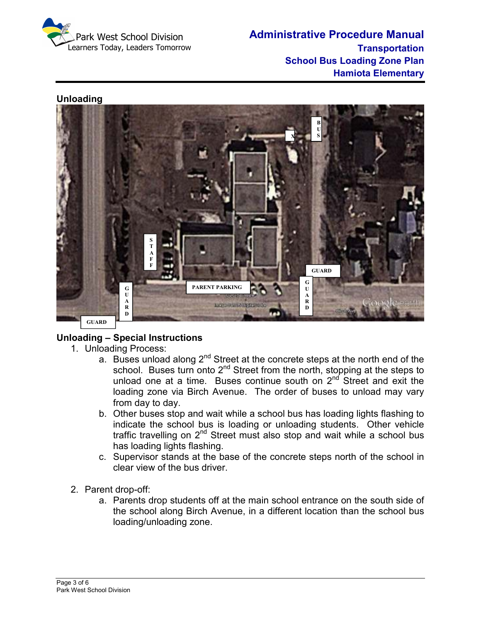

**Administrative Procedure Manual Transportation School Bus Loading Zone Plan Hamiota Elementary** 

### **Unloading**



# **Unloading – Special Instructions**

- 1. Unloading Process:
	- a. Buses unload along 2<sup>nd</sup> Street at the concrete steps at the north end of the school. Buses turn onto 2<sup>nd</sup> Street from the north, stopping at the steps to unload one at a time. Buses continue south on 2<sup>nd</sup> Street and exit the loading zone via Birch Avenue. The order of buses to unload may vary from day to day.
	- b. Other buses stop and wait while a school bus has loading lights flashing to indicate the school bus is loading or unloading students. Other vehicle traffic travelling on  $2<sup>nd</sup>$  Street must also stop and wait while a school bus has loading lights flashing.
	- c. Supervisor stands at the base of the concrete steps north of the school in clear view of the bus driver.
- 2. Parent drop-off:
	- a. Parents drop students off at the main school entrance on the south side of the school along Birch Avenue, in a different location than the school bus loading/unloading zone.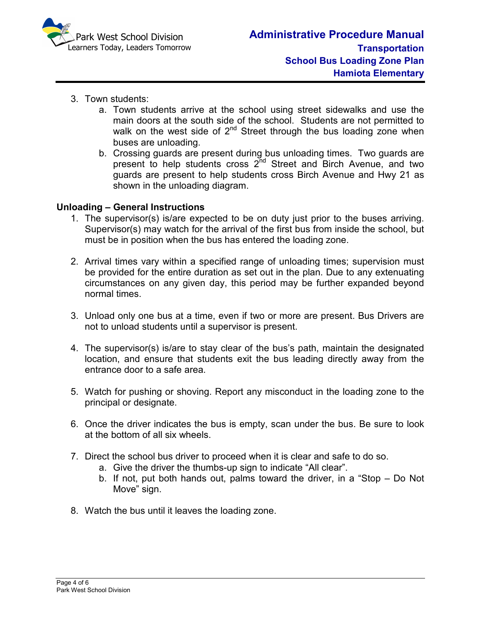

- 3. Town students:
	- a. Town students arrive at the school using street sidewalks and use the main doors at the south side of the school. Students are not permitted to walk on the west side of  $2^{nd}$  Street through the bus loading zone when buses are unloading.
	- b. Crossing guards are present during bus unloading times. Two guards are present to help students cross  $2^{nd}$  Street and Birch Avenue, and two guards are present to help students cross Birch Avenue and Hwy 21 as shown in the unloading diagram.

### **Unloading – General Instructions**

- 1. The supervisor(s) is/are expected to be on duty just prior to the buses arriving. Supervisor(s) may watch for the arrival of the first bus from inside the school, but must be in position when the bus has entered the loading zone.
- 2. Arrival times vary within a specified range of unloading times; supervision must be provided for the entire duration as set out in the plan. Due to any extenuating circumstances on any given day, this period may be further expanded beyond normal times.
- 3. Unload only one bus at a time, even if two or more are present. Bus Drivers are not to unload students until a supervisor is present.
- 4. The supervisor(s) is/are to stay clear of the bus's path, maintain the designated location, and ensure that students exit the bus leading directly away from the entrance door to a safe area.
- 5. Watch for pushing or shoving. Report any misconduct in the loading zone to the principal or designate.
- 6. Once the driver indicates the bus is empty, scan under the bus. Be sure to look at the bottom of all six wheels.
- 7. Direct the school bus driver to proceed when it is clear and safe to do so.
	- a. Give the driver the thumbs-up sign to indicate "All clear".
	- b. If not, put both hands out, palms toward the driver, in a "Stop Do Not Move" sign.
- 8. Watch the bus until it leaves the loading zone.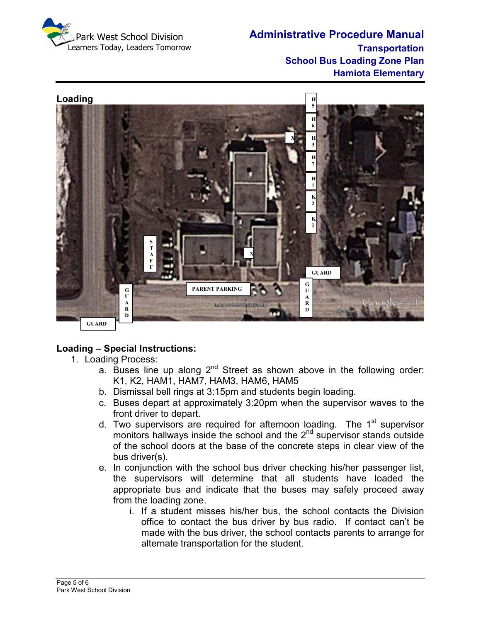

**Administrative Procedure Manual Transportation School Bus Loading Zone Plan Hamiota Elementary** 



# **Loading – Special Instructions:**

- 1. Loading Process:
	- a. Buses line up along  $2^{nd}$  Street as shown above in the following order: K1, K2, HAM1, HAM7, HAM3, HAM6, HAM5
	- b. Dismissal bell rings at 3:15pm and students begin loading.
	- c. Buses depart at approximately 3:20pm when the supervisor waves to the front driver to depart.
	- d. Two supervisors are required for afternoon loading. The  $1<sup>st</sup>$  supervisor monitors hallways inside the school and the 2<sup>nd</sup> supervisor stands outside of the school doors at the base of the concrete steps in clear view of the bus driver(s).
	- e. In conjunction with the school bus driver checking his/her passenger list, the supervisors will determine that all students have loaded the appropriate bus and indicate that the buses may safely proceed away from the loading zone.
		- i. If a student misses his/her bus, the school contacts the Division office to contact the bus driver by bus radio. If contact can't be made with the bus driver, the school contacts parents to arrange for alternate transportation for the student.